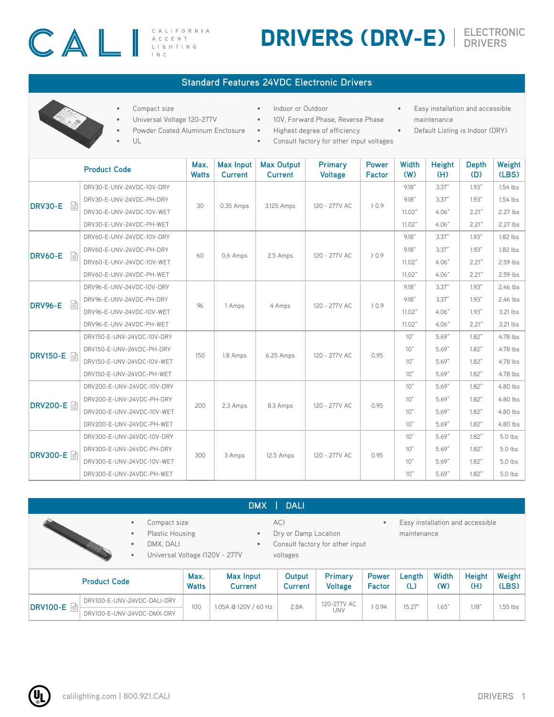# $\begin{array}{ccc}\n\begin{array}{c}\n\begin{array}{c}\n\end{array}\n\end{array}$

CALIFORNIA

## DRIVERS (DRV-E) **ELECTRONIC DRIVERS**

#### **Standard Features 24VDC Electronic Drivers**

- Indoor or Outdoor
	- 10V, Forward Phase, Reverse Phase
- Easy installation and accessible maintenance
- Powder Coated Aluminum Enclosure • Highest degree of efficiency
- UL

• Universal Voltage 120-277V

Compact size

- Consult factory for other input voltages
- 
- Default Listing is Indoor (DRY)

|                     | Max.<br><b>Watts</b>       | <b>Max Input</b><br><b>Current</b> | <b>Max Output</b><br><b>Current</b> | Primary<br><b>Voltage</b> | <b>Power</b><br><b>Factor</b> | Width<br>(W) | <b>Height</b><br>(H) | <b>Depth</b><br>(D) | Weight<br>(LBS) |          |
|---------------------|----------------------------|------------------------------------|-------------------------------------|---------------------------|-------------------------------|--------------|----------------------|---------------------|-----------------|----------|
|                     | DRV30-E-UNV-24VDC-10V-DRY  |                                    | 0.35 Amps                           | 3.125 Amps                | 120 - 277V AC                 | > 0.9        | 9.18''               | 3.37''              | 1.93"           | 1.54 lbs |
| <b>DRV30-E</b><br>目 | DRV30-E-UNV-24VDC-PH-DRY   | 30                                 |                                     |                           |                               |              | 9.18''               | 3.37''              | 1.93"           | 1.54 lbs |
|                     | DRV30-E-UNV-24VDC-10V-WET  |                                    |                                     |                           |                               |              | 11.02"               | 4.06"               | 2.21"           | 2.27 lbs |
|                     | DRV30-E-UNV-24VDC-PH-WET   |                                    |                                     |                           |                               |              | 11.02"               | 4.06"               | 2.21"           | 2.27 lbs |
|                     | DRV60-E-UNV-24VDC-10V-DRY  | 60                                 | 0.6 Amps                            | 2.5 Amps                  | 120 - 277V AC                 | $\geq 0.9$   | 9.18''               | 3.37''              | 1.93"           | 1.82 lbs |
| <b>DRV60-E</b><br>目 | DRV60-E-UNV-24VDC-PH-DRY   |                                    |                                     |                           |                               |              | 9.18''               | 3.37''              | 1.93"           | 1.82 lbs |
|                     | DRV60-E-UNV-24VDC-10V-WET  |                                    |                                     |                           |                               |              | 11.02"               | 4.06"               | 2.21"           | 2.59 lbs |
|                     | DRV60-E-UNV-24VDC-PH-WET   |                                    |                                     |                           |                               |              | 11.02"               | 4.06"               | 2.21"           | 2.59 lbs |
|                     | DRV96-E-UNV-24VDC-10V-DRY  | 96                                 | 1 Amps                              | 4 Amps                    | 120 - 277V AC                 | $\geq 0.9$   | 9.18''               | 3.37''              | 1.93"           | 2.46 lbs |
| 冒<br><b>DRV96-E</b> | DRV96-E-UNV-24VDC-PH-DRY   |                                    |                                     |                           |                               |              | 9.18''               | 3.37''              | 1.93"           | 2.46 lbs |
|                     | DRV96-E-UNV-24VDC-10V-WET  |                                    |                                     |                           |                               |              | 11.02"               | 4.06"               | 1.93"           | 3.21 lbs |
|                     | DRV96-E-UNV-24VDC-PH-WET   |                                    |                                     |                           |                               |              | 11.02"               | 4.06"               | 2.21"           | 3.21 lbs |
|                     | DRV150-E-UNV-24VDC-10V-DRY | 150                                | 1.8 Amps                            | 6.25 Amps                 | 120 - 277V AC                 | 0.95         | 10"                  | 5.69"               | 1.82"           | 4.78 lbs |
|                     | DRV150-E-UNV-24VDC-PH-DRY  |                                    |                                     |                           |                               |              | 10"                  | 5.69"               | 1.82"           | 4.78 lbs |
| DRV150-E A          | DRV150-E-UNV-24VDC-10V-WET |                                    |                                     |                           |                               |              | 10"                  | 5.69"               | 1.82"           | 4.78 lbs |
|                     | DRV150-E-UNV-24VDC-PH-WET  |                                    |                                     |                           |                               |              | 10"                  | 5.69"               | 1.82"           | 4.78 lbs |
|                     | DRV200-E-UNV-24VDC-10V-DRY |                                    | 2.3 Amps                            | 8.3 Amps                  | 120 - 277V AC                 | 0.95         | 10"                  | 5.69"               | 1.82"           | 4.80 lbs |
|                     | DRV200-E-UNV-24VDC-PH-DRY  | 200                                |                                     |                           |                               |              | 10"                  | 5.69"               | 1.82"           | 4.80 lbs |
|                     | DRV200-E-UNV-24VDC-10V-WET |                                    |                                     |                           |                               |              | 10"                  | 5.69"               | 1.82"           | 4.80 lbs |
|                     | DRV200-E-UNV-24VDC-PH-WET  |                                    |                                     |                           |                               |              | 10"                  | 5.69"               | 1.82"           | 4.80 lbs |
|                     | DRV300-E-UNV-24VDC-10V-DRY |                                    | 3 Amps                              | 12.5 Amps                 | 120 - 277V AC                 | 0.95         | 10"                  | 5.69"               | 1.82"           | 5.0 lbs  |
|                     | DRV300-E-UNV-24VDC-PH-DRY  | 300                                |                                     |                           |                               |              | 10"                  | 5.69"               | 1.82"           | 5.0 lbs  |
| <b>DRV300-E</b>     | DRV300-E-UNV-24VDC-10V-WET |                                    |                                     |                           |                               |              | 10"                  | 5.69"               | 1.82"           | 5.0 lbs  |
|                     | DRV300-E-UNV-24VDC-PH-WET  |                                    |                                     |                           |                               |              | 10"                  | 5.69"               | 1.82"           | 5.0 lbs  |

|                     |                                                                                                                                            |                      | <b>DMX</b>                  | <b>DALI</b>                             |                                 |                               |                                                 |              |                      |                 |
|---------------------|--------------------------------------------------------------------------------------------------------------------------------------------|----------------------|-----------------------------|-----------------------------------------|---------------------------------|-------------------------------|-------------------------------------------------|--------------|----------------------|-----------------|
|                     | Compact size<br>$\bullet$<br><b>Plastic Housing</b><br>$\bullet$<br>DMX, DALI<br>$\bullet$<br>Universal Voltage (120V - 277V)<br>$\bullet$ |                      |                             | AC)<br>Dry or Damp Location<br>voltages | Consult factory for other input | $\bullet$                     | Easy installation and accessible<br>maintenance |              |                      |                 |
| <b>Product Code</b> |                                                                                                                                            | Max.<br><b>Watts</b> | Max Input<br><b>Current</b> | Output<br><b>Current</b>                | Primary<br><b>Voltage</b>       | <b>Power</b><br><b>Factor</b> | Length<br>(L)                                   | Width<br>(W) | <b>Height</b><br>(H) | Weight<br>(LBS) |
| <b>DRV100-E</b> A   | DRV100-E-UNV-24VDC-DALI-DRY<br>DRV100-E-UNV-24VDC-DMX-DRY                                                                                  | 100                  | 1.05A @ 120V / 60 Hz        | 2.8A                                    | 120-277V AC<br>UNV              | 20.94                         | 15.27"                                          | .65''        | 1.18"                | $1.55$ lbs      |

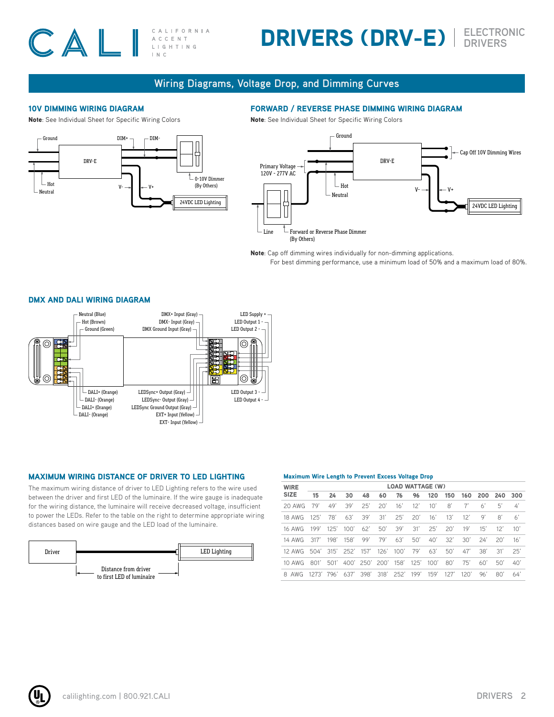#### CAL CALIFORNIA ACCENT L | G H T | N G  $INC$

## DRIVERS (DRV-E) **ELECTRONIC DRIVERS**

#### **Wiring Diagrams, Voltage Drop, and Dimming Curves**

#### 10V DIMMING WIRING DIAGRAM

Note: See Individual Sheet for Specific Wiring Colors



#### FORWARD / REVERSE PHASE DIMMING WIRING DIAGRAM

Note: See Individual Sheet for Specific Wiring Colors



Note: Cap off dimming wires individually for non-dimming applications. For best dimming performance, use a minimum load of 50% and a maximum load of 80%.

#### DMX AND DALI WIRING DIAGRAM



#### MAXIMUM WIRING DISTANCE OF DRIVER TO LED LIGHTING

The maximum wiring distance of driver to LED Lighting refers to the wire used between the driver and first LED of the luminaire. If the wire gauge is inadequate for the wiring distance, the luminaire will receive decreased voltage, insufficient to power the LEDs. Refer to the table on the right to determine appropriate wiring distances based on wire gauge and the LED load of the luminaire.



#### Maximum Wire Length to Prevent Excess Voltage Drop

| <b>WIRE</b>                                              |     | <b>LOAD WATTAGE (W)</b> |     |     |  |  |  |                                     |  |     |     |               |                |  |
|----------------------------------------------------------|-----|-------------------------|-----|-----|--|--|--|-------------------------------------|--|-----|-----|---------------|----------------|--|
| <b>SIZE</b>                                              | 15  | 24                      | 30  | 48  |  |  |  | 60 76 96 120 150 160 200 240 300    |  |     |     |               |                |  |
| 20 AWG                                                   | 79' | 49'                     | 39' | 25' |  |  |  | 20' 16' 12' 10' 8'                  |  | 7'  | 6'  | 51            | $\overline{4}$ |  |
| 18 AWG 125'                                              |     |                         |     |     |  |  |  | 78' 63' 39' 31' 25' 20' 16' 13' 12' |  |     | 9'  | $\mathsf{R}'$ | 6'             |  |
| 16 AWG 199' 125' 100' 62' 50' 39' 31' 25' 20' 19' 15'    |     |                         |     |     |  |  |  |                                     |  |     |     | 12'           | 10'            |  |
| 14 AWG 317' 198' 158' 99' 79' 63' 50' 40' 32' 30' 24'    |     |                         |     |     |  |  |  |                                     |  |     |     | $20'$ 16'     |                |  |
| 12 AWG 504' 315' 252' 157' 126' 100' 79' 63' 50' 47'     |     |                         |     |     |  |  |  |                                     |  |     | 38' | 31'           | 25'            |  |
| 10 AWG 801' 501' 400' 250' 200' 158' 125' 100' 80'       |     |                         |     |     |  |  |  |                                     |  | 75' | 60' | 50'           | 40'            |  |
| 8 AWG 1273' 796' 637' 398' 318' 252' 199' 159' 127' 120' |     |                         |     |     |  |  |  |                                     |  |     | 96' | 80'           | 64'            |  |
|                                                          |     |                         |     |     |  |  |  |                                     |  |     |     |               |                |  |

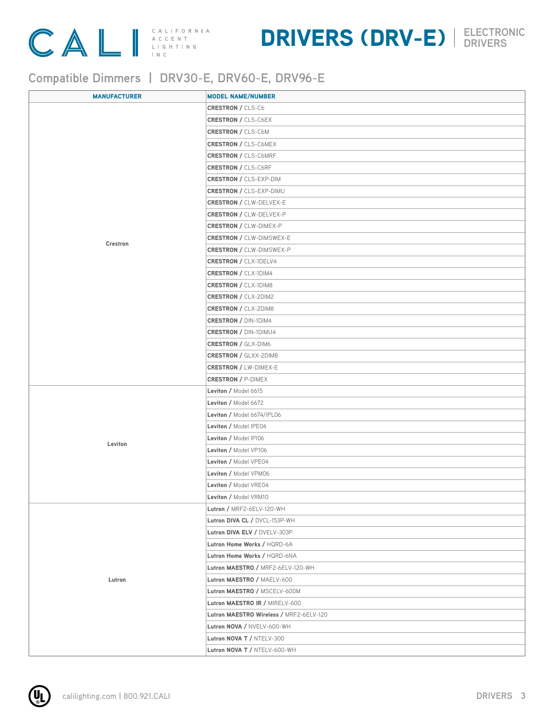

### DRIVERS (DRV-E) **ELECTRONIC DRIVERS**

### **Compatible Dimmers | DRV30-E, DRV60-E, DRV96-E**

| <b>MANUFACTURER</b> | <b>MODEL NAME/NUMBER</b>                |
|---------------------|-----------------------------------------|
|                     | <b>CRESTRON / CLS-C6</b>                |
|                     | <b>CRESTRON / CLS-C6EX</b>              |
|                     | <b>CRESTRON / CLS-C6M</b>               |
|                     | <b>CRESTRON / CLS-C6MEX</b>             |
|                     | <b>CRESTRON / CLS-C6MRF</b>             |
|                     | <b>CRESTRON / CLS-C6RF</b>              |
|                     | <b>CRESTRON / CLS-EXP-DIM</b>           |
|                     | <b>CRESTRON / CLS-EXP-DIMU</b>          |
|                     | <b>CRESTRON / CLW-DELVEX-E</b>          |
|                     | <b>CRESTRON / CLW-DELVEX-P</b>          |
|                     | <b>CRESTRON / CLW-DIMEX-P</b>           |
|                     | <b>CRESTRON / CLW-DIMSWEX-E</b>         |
| Crestron            | <b>CRESTRON / CLW-DIMSWEX-P</b>         |
|                     | <b>CRESTRON / CLX-1DELV4</b>            |
|                     | <b>CRESTRON / CLX-1DIM4</b>             |
|                     | <b>CRESTRON / CLX-1DIM8</b>             |
|                     | <b>CRESTRON / CLX-2DIM2</b>             |
|                     | <b>CRESTRON / CLX-2DIM8</b>             |
|                     | <b>CRESTRON / DIN-1DIM4</b>             |
|                     | <b>CRESTRON / DIN-1DIMU4</b>            |
|                     | <b>CRESTRON / GLX-DIM6</b>              |
|                     | <b>CRESTRON / GLXX-2DIM8</b>            |
|                     | <b>CRESTRON / LW-DIMEX-E</b>            |
|                     | <b>CRESTRON / P-DIMEX</b>               |
|                     | Leviton / Model 6615                    |
|                     | Leviton / Model 6672                    |
|                     | Leviton / Model 6674/IPL06              |
|                     | Leviton / Model IPE04                   |
|                     | Leviton / Model IPI06                   |
| Leviton             | Leviton / Model VP106                   |
|                     | Leviton / Model VPE04                   |
|                     | Leviton / Model VPM06                   |
|                     | Leviton / Model VRE04                   |
|                     | Leviton / Model VRM10                   |
|                     | Lutron / MRF2-6ELV-120-WH               |
|                     | Lutron DIVA CL / DVCL-153P-WH           |
|                     | Lutron DIVA ELV / DVELV-303P            |
|                     | Lutron Home Works / HQRD-6A             |
|                     | Lutron Home Works / HQRD-6NA            |
|                     | Lutron MAESTRO / MRF2-6ELV-120-WH       |
| Lutron              | Lutron MAESTRO / MAELV-600              |
|                     | Lutron MAESTRO / MSCELV-600M            |
|                     | Lutron MAESTRO IR / MIRELV-600          |
|                     | Lutron MAESTRO Wireless / MRF2-6ELV-120 |
|                     | Lutron NOVA / NVELV-600-WH              |
|                     | Lutron NOVA T / NTELV-300               |
|                     | Lutron NOVA T / NTELV-600-WH            |
|                     |                                         |

<u>Ul</u>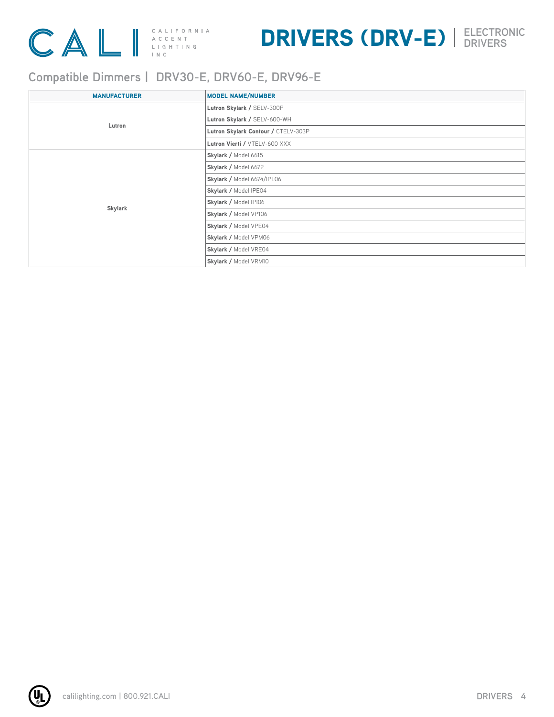

## DRIVERS (DRV-E) **ELECTRONIC DRIVERS**

### **Compatible Dimmers | DRV30-E, DRV60-E, DRV96-E**

| <b>MANUFACTURER</b> | <b>MODEL NAME/NUMBER</b>            |
|---------------------|-------------------------------------|
|                     | Lutron Skylark / SELV-300P          |
| Lutron              | Lutron Skylark / SELV-600-WH        |
|                     | Lutron Skylark Contour / CTELV-303P |
|                     | Lutron Vierti / VTELV-600 XXX       |
|                     | Skylark / Model 6615                |
|                     | Skylark / Model 6672                |
|                     | Skylark / Model 6674/IPL06          |
|                     | Skylark / Model IPE04               |
| Skylark             | Skylark / Model IPI06               |
|                     | Skylark / Model VP106               |
|                     | Skylark / Model VPE04               |
|                     | Skylark / Model VPM06               |
|                     | Skylark / Model VRE04               |
|                     | Skylark / Model VRM10               |